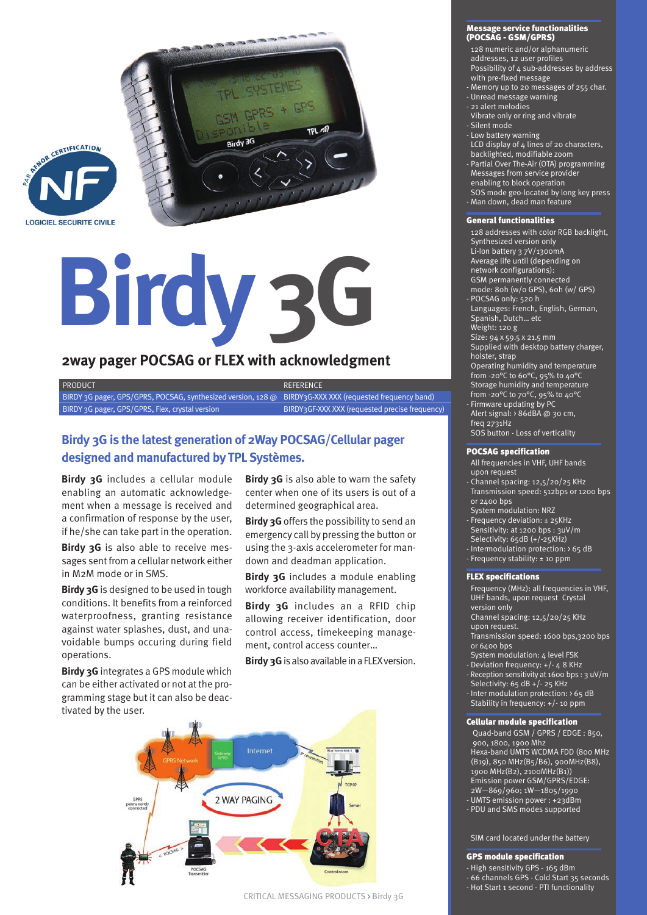



# **Birdy 3G**

## **2way pager POCSAG or FLEX with acknowledgment**

BIRDY 3G pager, GPS/GPRS, POCSAG, synthesized version, 128 @ BIRDY3G-XXX XXX (requested frequency band) BIRDY 3G pager, GPS/GPRS, Flex, crystal version BIRDY3GF-XXX XXX (requested precise frequency) PRODUCT A REFERENCE

# **designed and manufactured by TPL Systèmes.**

 **Birdy 3G** includes a cellular module enabling an automatic acknowledgement when a message is received and a confirmation of response by the user, if he/she can take part in the operation.

**Birdy 3G** is also able to receive messages sent from a cellular network either in M2M mode or in SMS.

 conditions . It benefits from a reinforced **Birdy 3G** is designed to be used in tough waterproofness, granting resistance against water splashes, dust, and unavoidable bumps occuring during field operations. **Birdy 3G is the latest generation of 2Way POCSAG/Cellular pager**<br> **designed and manufactured by TPL Systèmes.**<br> **Birdy 3G** includes a cellular module<br> **Birdy 3G** is also able to warn the safety<br>
enabling an automatic ackn

 gramming stage but it can also be deac-**Birdy 3G** integrates a GPS module which can be either activated or not at the protivated by the user.

**Birdy 3G** is also able to warn the safety center when one of its users is out of a determined geographical area .

**Birdy 3G** offers the possibility to send an emergency call by pressing the button or using the 3-axis accelerometer for mandown and deadman application.

**Birdy 3G** includes a module enabling workforce availability management.

**Birdy 3G** includes an a RFID chip allowing receiver identification, door control access, timekeeping management, control access counter…

**Birdy 3G** is also available in a FLEX version.



#### Message service functionalities (POCSAG - GSM/GPRS)

- 128 numeric and/or alphanumeric - Possibility of 4 sub-addresses by address addresses, 12 user profiles

- with pre-fixed message
- Memory up to 20 messages of 255 char.
- Unread message warning - 21 alert melodies
- Vibrate only or ring and vibrate
- Silent mode
- Low battery warning
- LCD display of 4 lines of 20 characters,
- backlighted, modifiable zoom
- - Partial Over The-Air (OTA) programming - Messages from service provider enabling to block operation
- SOS mode geo-located by long key press
- Man down, dead man feature

#### General functionalities

- 128 addresses with color RGB backlight,
- Synthesized version only
- . Synthesized version only Li-Ion battery 3 7V/1300mA
- Average life until (depending on
- network configurations):
- GSM permanently connected
- mode: 80h (w/o GPS), 60h (w/ GPS) POCSAG only: 520 h
- Languages: French, English, German,
- Snanish Dutch etc. - Spanish, Dutch… etc Weight: 120 g
- Size: 94 x 59.5 x 21.5 mm
- Supplied with desktop battery charger,
- holster, strap
- Operating humidity and temperature
- from -20 $\rm{^o}$ C to 60 $\rm{^o}$ C, 95% to 40 $\rm{^o}$ C
- Storage humidity and temperature from -20 $\rm{^o}$ C to 70 $\rm{^o}$ C, 95% to 40 $\rm{^o}$ C
- Firmware updating by PC
- Alert signal: > 86dBA @ 30 cm, . freq 2731Hz
- SOS button Loss of verticality

#### POCSAG specification

- All frequencies in VHF, UHF bands upon request
- Transmission speed: 512bps or 1200 bps - Channel spacing: 12,5/20/25 KHz or 2400 bps
- System modulation: NRZ
- Frequency deviation: ± 25KHz Sensitivity: at 1200 bps : 3uV/m
- Selectivity: 65dB (+/-25KHz)
- Intermodulation protection: > 65 dB
- Frequency stability: ± 10 ppm

#### FLEX specifications

- UHF bands, upon request Crystal - UHF bands, upon request Crystal version only Channel spacing: 12,5/20/25 KHz Frequency (MHz): all frequencies in VHF,
- version only
- upon request.
- Transmission speed: 1600 bps,3200 bps or 6400 bps
- System modulation: 4 level FSK
- . Deviation frequency: +/- 4 8 KHz
- Selectivity: 65 dB +/- 25 KHz - Reception sensitivity at 1600 bps : 3 uV/m
- Stability in frequency: +/- 10 ppm - Inter modulation protection: > 65 dB

#### Cellular module specification

Quad-band GSM / GPRS / EDGE: 850, Hexa-band UMTS WCDMA FDD (800 MHz - Emission power GSM/GPRS/EDGE: 900, 1800, 1900 Mhz (B19), 850 MHz(B5/B6), 900MHz(B8), 1900 MHz(B2), 2100MHz(B1)) 2W—869/960; 1W—1805/1990 - UMTS emission power : +23dBm - PDU and SMS modes supported

- SIM card located under the battery

### GPS module specification

- High sensitivity GPS 165 dBm
- 66 channels GPS Cold Start 35 seconds - Hot Start 1 second - PTI functionality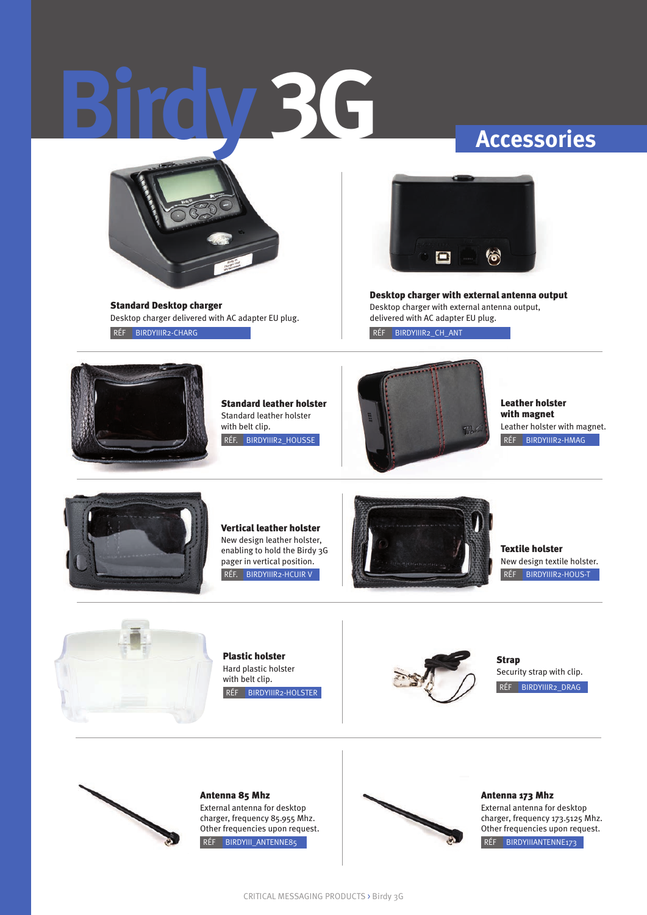# **Birdy 3G Accessories**



 . RÉF BIRDYIIIR2-CHARG Standard Desktop charger Desktop charger delivered with AC adapter EU plug.



 . RÉF BIRDYIIIR2\_CH\_ANT Desktop charger with external antenna output Desktop charger with external antenna output, delivered with AC adapter EU plug.



Standard leather holster Standard leather holster with belt clip. RÉF. BIRDYIIIR2\_HOUSSE



 . RÉF BIRDYIIIR2-HMAG Leather holster with magnet Leather holster with magnet.



Vertical leather holster New design leather holster, enabling to hold the Birdy 3G pager in vertical position. RÉF. BIRDYIIIR2-HCUIR V



Textile holster New design textile holster. RÉF BIRDYIIIR2-HOUS-T



Plastic holster Hard plastic holster with belt clip.



RÉF BIRDYIIIR2\_DRAG **Strap** Security strap with clip.



RÉF BIRDYIII ANTENNE85



Other frequencies upon request. RÉF BIRDYIIIANTENNE173